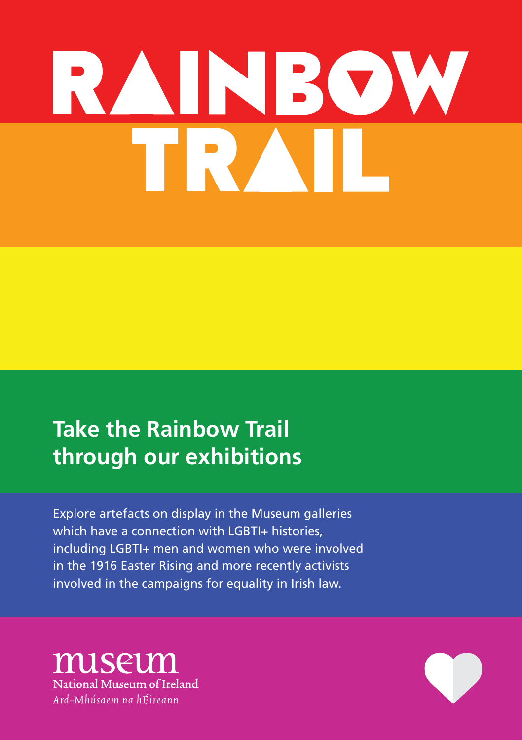# **INBOW**

# **Take the Rainbow Trail through our exhibitions**

Explore artefacts on display in the Museum galleries which have a connection with LGBTI+ histories, including LGBTI+ men and women who were involved in the 1916 Easter Rising and more recently activists involved in the campaigns for equality in Irish law.

miseun National Museum of Ireland Ard-Mhúsaem na hÉireann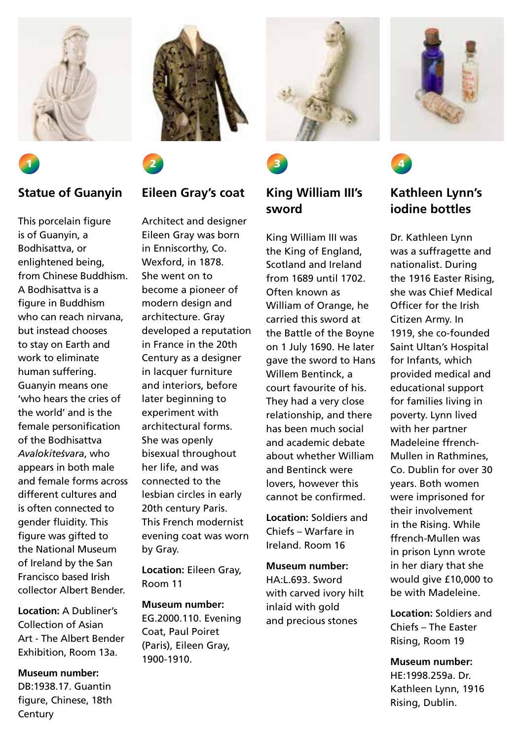

### **Statue of Guanyin**

1

This porcelain figure is of Guanyin, a Bodhisattva, or enlightened being, from Chinese Buddhism. A Bodhisattva is a figure in Buddhism who can reach nirvana, but instead chooses to stay on Earth and work to eliminate human suffering. Guanyin means one 'who hears the cries of the world' and is the female personification of the Bodhisattva *Avalokitesvara*, who appears in both male and female forms across different cultures and is often connected to gender fluidity. This figure was gifted to the National Museum of Ireland by the San Francisco based Irish collector Albert Bender.

**Location:** A Dubliner's Collection of Asian Art - The Albert Bender Exhibition, Room 13a.

**Museum number:**  DB:1938.17. Guantin figure, Chinese, 18th **Century** 





### **Eileen Gray's coat**

Architect and designer Eileen Gray was born in Enniscorthy, Co. Wexford, in 1878. She went on to become a pioneer of modern design and architecture. Gray developed a reputation in France in the 20th Century as a designer in lacquer furniture and interiors, before later beginning to experiment with architectural forms. She was openly bisexual throughout her life, and was connected to the lesbian circles in early 20th century Paris. This French modernist evening coat was worn by Gray.

**Location:** Eileen Gray, Room 11

**Museum number:**  EG.2000.110. Evening Coat, Paul Poiret (Paris), Eileen Gray, 1900-1910.





### **King William III's sword**

King William III was the King of England, Scotland and Ireland from 1689 until 1702. Often known as William of Orange, he carried this sword at the Battle of the Boyne on 1 July 1690. He later gave the sword to Hans Willem Bentinck, a court favourite of his. They had a very close relationship, and there has been much social and academic debate about whether William and Bentinck were lovers, however this cannot be confirmed.

**Location:** Soldiers and Chiefs – Warfare in Ireland. Room 16

**Museum number:** HA:L.693. Sword with carved ivory hilt inlaid with gold and precious stones





### **Kathleen Lynn's iodine bottles**

Dr. Kathleen Lynn was a suffragette and nationalist. During the 1916 Easter Rising, she was Chief Medical Officer for the Irish Citizen Army. In 1919, she co-founded Saint Ultan's Hospital for Infants, which provided medical and educational support for families living in poverty. Lynn lived with her partner Madeleine ffrench-Mullen in Rathmines, Co. Dublin for over 30 years. Both women were imprisoned for their involvement in the Rising. While ffrench-Mullen was in prison Lynn wrote in her diary that she would give £10,000 to be with Madeleine.

**Location:** Soldiers and Chiefs – The Easter Rising, Room 19

**Museum number:**  HE:1998.259a. Dr. Kathleen Lynn, 1916 Rising, Dublin.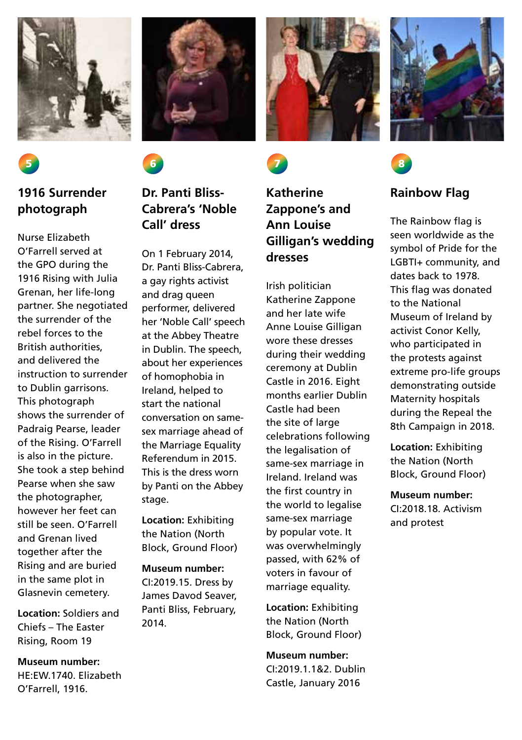

### **1916 Surrender photograph**

Nurse Elizabeth O'Farrell served at the GPO during the 1916 Rising with Julia Grenan, her life-long partner. She negotiated the surrender of the rebel forces to the British authorities, and delivered the instruction to surrender to Dublin garrisons. This photograph shows the surrender of Padraig Pearse, leader of the Rising. O'Farrell is also in the picture. She took a step behind Pearse when she saw the photographer, however her feet can still be seen. O'Farrell and Grenan lived together after the Rising and are buried in the same plot in Glasnevin cemetery.

**Location:** Soldiers and Chiefs – The Easter Rising, Room 19

**Museum number:**  HE:EW.1740. Elizabeth O'Farrell, 1916.





## **Cabrera's 'Noble Call' dress**

On 1 February 2014, Dr. Panti Bliss-Cabrera, a gay rights activist and drag queen performer, delivered her 'Noble Call' speech at the Abbey Theatre in Dublin. The speech, about her experiences of homophobia in Ireland, helped to start the national conversation on samesex marriage ahead of the Marriage Equality Referendum in 2015. This is the dress worn by Panti on the Abbey stage.

**Location:** Exhibiting the Nation (North Block, Ground Floor)

**Museum number:**  CI:2019.15. Dress by James Davod Seaver, Panti Bliss, February, 2014.





### **Katherine Zappone's and Ann Louise Gilligan's wedding dresses**

Irish politician Katherine Zappone and her late wife Anne Louise Gilligan wore these dresses during their wedding ceremony at Dublin Castle in 2016. Eight months earlier Dublin Castle had been the site of large celebrations following the legalisation of same-sex marriage in Ireland. Ireland was the first country in the world to legalise same-sex marriage by popular vote. It was overwhelmingly passed, with 62% of voters in favour of marriage equality.

**Location:** Exhibiting the Nation (North Block, Ground Floor)

**Museum number:**  CI:2019.1.1&2. Dublin Castle, January 2016





### **Rainbow Flag**

The Rainbow flag is seen worldwide as the symbol of Pride for the LGBTI+ community, and dates back to 1978. This flag was donated to the National Museum of Ireland by activist Conor Kelly, who participated in the protests against extreme pro-life groups demonstrating outside Maternity hospitals during the Repeal the 8th Campaign in 2018.

**Location:** Exhibiting the Nation (North Block, Ground Floor)

**Museum number:**  CI:2018.18. Activism and protest